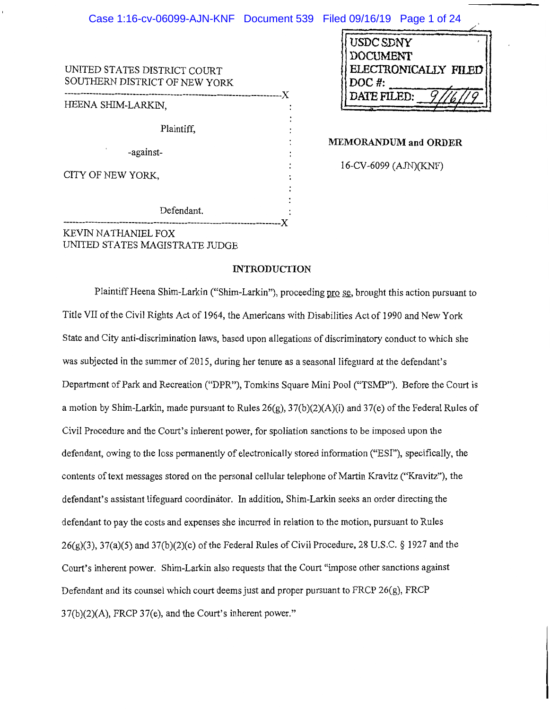| Case 1:16-cv-06099-AJN-KNF Document 539 Filed 09/16/19 Page 1 of 24 |                                                                |
|---------------------------------------------------------------------|----------------------------------------------------------------|
| UNITED STATES DISTRICT COURT<br>SOUTHERN DISTRICT OF NEW YORK       | USDC SDNY<br><b>DOCUMENT</b><br>ELECTRONICALLY FILED<br>DOC #: |
| HEENA SHIM-LARKIN.                                                  | DATE FILED:                                                    |
| Plaintiff,                                                          | <b>MEMORANDUM and ORDER</b>                                    |
| -against-                                                           |                                                                |
| CITY OF NEW YORK,                                                   | 16-CV-6099 (AJN)(KNF)                                          |

# **ORDER**

------------------------------------ **-----------------X**  KEVIN NATHANIEL FOX UNITED STATES MAGISTRATE JUDGE

Defendant.

#### **INTRODUCTION**

Plaintiff Heena Shim-Larkin ("Shim-Larkin"), proceeding pro se, brought this action pursuant to Title VII of the Civil Rights Act of 1964, the Americans with Disabilities Act of 1990 and New York State and City anti-discrimination laws, based upon allegations of discriminatory conduct to which she was subjected in the summer of 2015, during her tenure as a seasonal lifeguard at the defendant's Department of Park and Recreation ("DPR"), Tomkins Square Mini Pool ("TSMP"). Before the Court is a motion by Shim-Larkin, made pursuant to Rules  $26(g)$ ,  $37(b)(2)(A)(i)$  and  $37(e)$  of the Federal Rules of Civil Procedure and the Court's inherent power, for spoliation sanctions to be imposed upon the defendant, owing to the loss permanently of electronically stored information ("ESI"), specifically, the contents of text messages stored on the personal cellular telephone of Martin Kravitz ("Kravitz"), the defendant's assistant lifeguard coordinator. In addition, Shim-Larkin seeks an order directing the defendant to pay the costs and expenses she incurred in relation to the motion, pursuant to Rules  $26(g)(3)$ ,  $37(a)(5)$  and  $37(b)(2)(c)$  of the Federal Rules of Civil Procedure, 28 U.S.C. § 1927 and the Court's inherent power. Shim-Larkin also requests that the Court "impose other sanctions against Defendant and its counsel which court deems just and proper pursuant to FRCP 26(g), FRCP 37(b)(2)(A), FRCP 37(e), and the Court's inherent power."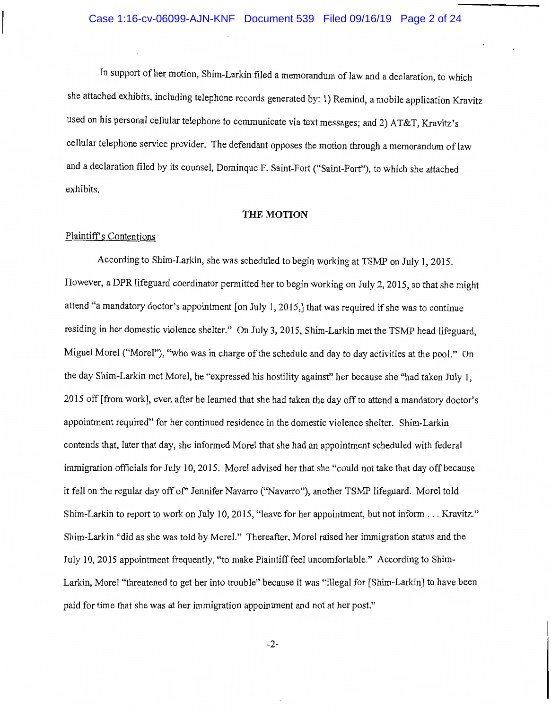In support of her motion, Shim-Larkin filed a memorandum of law and a declaration, to which she attached exhibits, including telephone records generated by: 1) Remind, a mobile application Kravitz used on his personal cellular telephone to communicate via text messages; and 2) AT&T, Kravitz's cellular telephone service provider. The defendant opposes the motion through a memorandum of law and a declaration filed by its counsel, Dominque F. Saint-Fort ("Saint-Fort"), to which she attached exhibits.

#### **THE MOTION**

#### Plaintiffs Contentions

According to Shim-Larkin, she was scheduled to begin working at TSMP on July 1, 2015. However, a DPR lifeguard coordinator permitted her to begin working on July 2, 2015, so that she might attend "a mandatory doctor's appointment [on July 1, 2015,] that was required if she was to continue residing in her domestic violence shelter." On July 3, 2015, Shim-Larkin met the TSMP head lifeguard, Miguel Morel ("Morel"), "who was in charge of the schedule and day to day activities at the pool." On the day Shim-Larkin met Morel, he "expressed his hostility against" her because she "had taken July l, 2015 off [from work], even after he learned that she had taken the day off to attend a mandatory doctor's appointment required" for her continued residence in the domestic violence shelter. Shim-Larkin contends that, later that day, she informed Morel that she had an appointment scheduled with federal immigration officials for July 10, 2015. Morel advised her that she "could not take that day off because it feII on the regular day off of' Jennifer Navarro ("Navarro"), another TSMP lifeguard. Morel told Shim-Larkin to report to work on July 10, 2015, "leave for her appointment, but not inform ... Kravitz." Shim-Larkin "did as she was told by Morel." Thereafter, Morel raised her immigration status and the July 10, 2015 appointment frequently, "to make Plaintiff feel uncomfortable." According to Shim-Larkin, Morel "threatened to get her into trouble" because it was "illegal for [Shim-Larkin] to have been paid for time that she was at her immigration appointment and not at her post."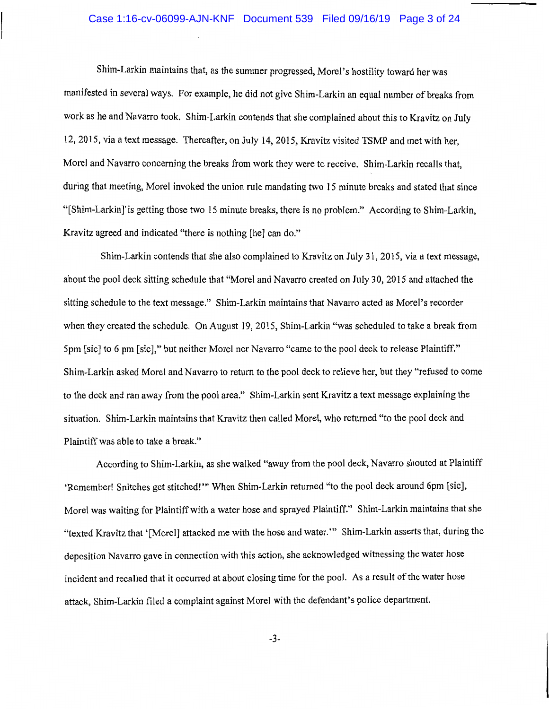#### Case 1:16-cv-06099-AJN-KNF Document 539 Filed 09/16/19 Page 3 of 24

Shim-Larkin maintains that, as the summer progressed, Morel's hostility toward her was manifested in several ways. For example, he did not give Shim-Larkin an equal number of breaks from work as he and Navarro took. Shim-Larkin contends that she complained about this to Kravitz on July 12, 2015, via a text message. Thereafter, on July 14, 2015, Kravitz visited TSMP and met with her, Morel and Navarro concerning the breaks from work they were to receive. Shim-Larkin recalls that, during that meeting, Morel invoked the union rule mandating two 15 minute breaks and stated that since "[Shim-Larkin]'is getting those two 15 minute breaks, there is no problem." According to Shim-Larkin, Kravitz agreed and indicated "there is nothing [he] can do."

Shim-Larkin contends that she also complained to Kravitz on July 31, 2015, via a text message, about the pool deck sitting schedule that "Morel and Navarro created on July 30, 2015 and attached the sitting schedule to the text message." Shim-Larkin maintains that Navarro acted as Morel's recorder when they created the schedule. On August 19, 2015, Shim-Larkin "was scheduled to take a break from 5pm [sic] to 6 pm [sic]," but neither Morel nor Navarro "came to the pool deck to release Plaintiff." Shim-Larkin asked Morel and Navarro to return to the pool deck to relieve her, but they "refused to come to the deck and ran away from the pool area." Shim-Larkin sent Kravitz a text message explaining the situation. Shim-Larkin maintains that Kravitz then called Morel, who returned "to the pool deck and Plaintiff was able to take a break."

According to Shim-Larkin, as she walked "away from the pool deck, Navarro shouted at Plaintiff 'Remember! Snitches get stitched!'" When Shim-Larkin returned "to the pool deck around 6pm [sic], Morel was waiting for Plaintiff with a water hose and sprayed Plaintiff." Shim-Larkin maintains that she "texted Kravitz that '[Morel] attacked me with the hose and water."' Shim-Larkin asserts that, during the deposition Navarro gave in connection with this action, she acknowledged witnessing the water hose incident and recalled that it occurred at about closing time for the pool. As a result of the water hose attack, Shim-Larkin filed a complaint against Morel with the defendant's police department.

-3-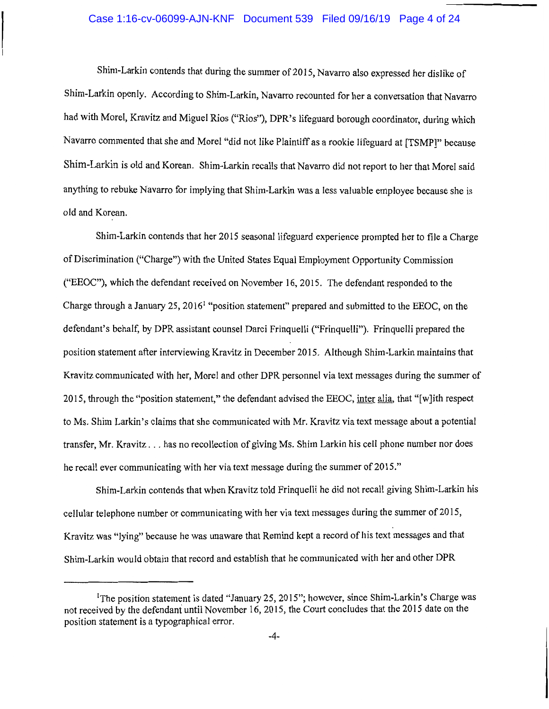# Case 1:16-cv-06099-AJN-KNF Document 539 Filed 09/16/19 Page 4 of 24

Shim-Larkin contends that during the summer of 2015, Navarro also expressed her dislike of Shim-Larkin openly. According to Shim-Larkin, Navarro recounted for her a conversation that Navarro had with Morel, Kravitz and Miguel Rios ("Rios"), DPR's lifeguard borough coordinator, during which Navarro commented that she and Morel "did not like Plaintiff as a rookie lifeguard at [TSMPJ" because Shim-Larkin is old and Korean. Shim-Larkin recalls that Navarro did not report to her that Morel said anything to rebuke Navarro for implying that Shim-Larkin was a less valuable employee because she is old and Korean.

Shim-Larkin contends that her 2015 seasonal lifeguard experience prompted her to file a Charge of Discrimination ("Charge") with the United States Equal Employment Opportunity Commission ("EEOC"), which the defendant received on November 16, 2015. The defendant responded to the Charge through a January 25, 20161 "position statement" prepared and submitted to the EEOC, on the defendant's behalf, by DPR assistant counsel Darci Frinquelli ("Frinquelli"). Frinquelli prepared the position statement after interviewing Kravitz in December 2015. Although Shim-Larkin maintains that Kravitz communicated with her, Morel and other DPR personnel via text messages during the summer of 2015, through the "position statement," the defendant advised the EEOC, inter alia, that "[w]ith respect to Ms. Shim Larkin's claims that she communicated with Mr. Kravitz via text message about a potential transfer, Mr. Kravitz ... has no recollection of giving Ms. Shim Larkin his cell phone number nor does he recall ever communicating with her via text message during the summer of 2015."

Shim-Larkin contends that when Kravitz told Frinquelli he did not recall giving Shim-Larkin his cellular telephone number or communicating with her via text messages during the summer of 2015, Kravitz was "lying" because he was unaware that Remind kept a record of his text messages and that Shim-Larkin would obtain that record and establish that he communicated with her and other DPR

<sup>&</sup>lt;sup>1</sup>The position statement is dated "January 25, 2015"; however, since Shim-Larkin's Charge was not received by the defendant until November 16, 2015, the Court concludes that the 2015 date on the position statement is a typographical error.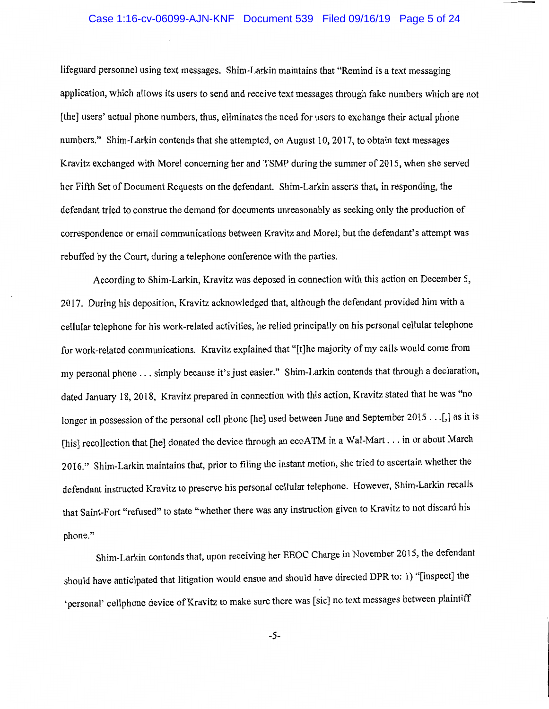## Case 1:16-cv-06099-AJN-KNF Document 539 Filed 09/16/19 Page 5 of 24

lifeguard personnel using text messages. Shim-Larkin maintains that "Remind is a text messaging application, which allows its users to send and receive text messages through fake numbers which are not [the] users' actual phone numbers, thus, eliminates the need for users to exchange their actual phone numbers." Shim-Larkin contends that she attempted, on August 10, 2017, to obtain text messages Kravitz exchanged with Morel concerning her and TSMP during the summer of 2015, when she served her Fifth Set of Document Requests on the defendant. Shim-Larkin asserts that, in responding, the defendant tried to construe the demand for documents unreasonably as seeking only the production of correspondence or email communications between Kravitz and Morel; but the defendant's attempt was rebuffed by the Court, during a telephone conference with the parties.

According to Shim-Larkin, Kravitz was deposed in connection with this action on December 5, 2017. During his deposition, Kravitz acknowledged that, although the defendant provided him with a cellular telephone for his work-related activities, he relied principally on his personal cellular telephone for work-related communications. Kravitz explained that "[t]he majority of my calls would come from my personal phone ... simply because it's just easier." Shim-Larkin contends that through a declaration, dated January 18, 2018, Kravitz prepared in connection with this action, Kravitz stated that he was "no longer in possession of the personal cell phone [he] used between June and September 2015 . . .[,] as it is [his] recollection that [he] donated the device through an ecoATM in a Wal-Mart . . . in or about March 2016." Shim-Larkin maintains that, prior to filing the instant motion, she tried to ascertain whether the defendant instructed Kravitz to preserve his personal cellular telephone. However, Shim-Larkin recalls that Saint-Fort "refused" to state "whether there was any instruction given to Kravitz to not discard his phone."

Shim-Larkin contends that, upon receiving her EEOC Charge in November 2015, the defendant should have anticipated that litigation would ensue and should have directed DPR to: 1) "[inspect] the 'personal' cellphone device of Kravitz to make sure there was [sic] no text messages between plaintiff

-5-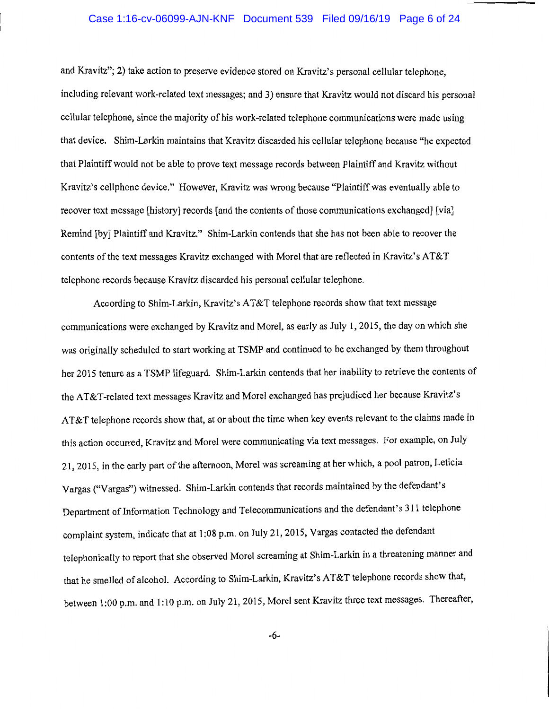# Case 1:16-cv-06099-AJN-KNF Document 539 Filed 09/16/19 Page 6 of 24

and Kravitz"; 2) take action to preserve evidence stored on Kravitz's personal cellular telephone, including relevant work-related text messages; and 3) ensure that Kravitz would not discard his personal cellular telephone, since the majority of his work-related telephone communications were made using that device. Shim-Larkin maintains that Kravitz discarded his cellular telephone because "he expected that Plaintiff would not be able to prove text message records between Plaintiff and Kravitz without Kravitz's cellphone device." However, Kravitz was wrong because "Plaintiff was eventually able to recover text message [history] records [and the contents of those communications exchanged] [via] Remind [by] Plaintiff and Kravitz." Shim-Larkin contends that she has not been able to recover the contents of the text messages Kravitz exchanged with Morel that are reflected in Kravitz's AT&T telephone records because Kravitz discarded his personal cellular telephone.

According to Shim-Larkin, Kravitz's AT&T telephone records show that text message communications were exchanged by Kravitz and Morel, as early as July 1, 2015, the day on which she was originally scheduled to start working at TSMP and continued to be exchanged by them throughout her 2015 tenure as a TSMP lifeguard. Shim-Larkin contends that her inability to retrieve the contents of the AT&T-related text messages Kravitz and Morel exchanged has prejudiced her because Kravitz's AT&T telephone records show that, at or about the time when key events relevant to the claims made in this action occurred, Kravitz and Morel were communicating via text messages. For example, on July 21, 2015, in the early part of the afternoon, Morel was screaming at her which, a pool patron, Leticia Vargas ("Vargas") witnessed. Shim-Larkin contends that records maintained by the defendant's Department of Information Technology and Telecommunications and the defendant's 311 telephone complaint system, indicate that at 1:08 p.m. on July 21, 2015, Vargas contacted the defendant telephonically to report that she observed Morel screaming at Shim-Larkin in a threatening manner and that he smelled of alcohol. According to Shim-Larkin, Kravitz's AT&T telephone records show that, between 1:00 p.m. and 1:10 p.m. on July 21, 2015, Morel sent Kravitz three text messages. Thereafter,

-6-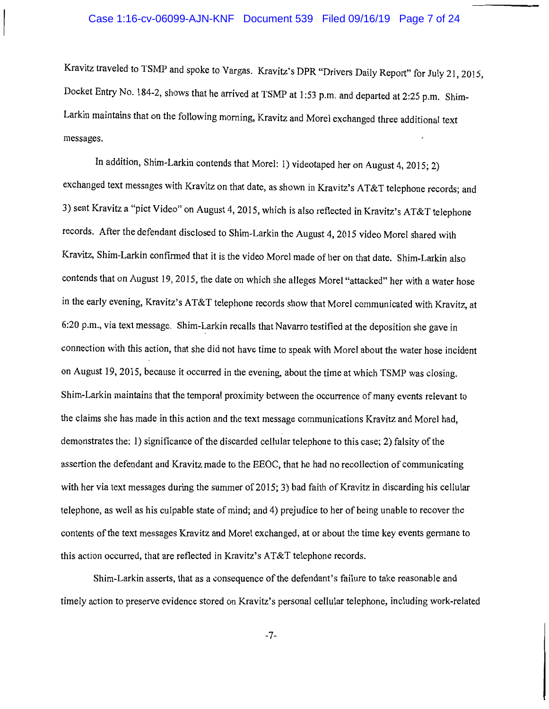## Case 1:16-cv-06099-AJN-KNF Document 539 Filed 09/16/19 Page 7 of 24

Kravitz traveled to TSMP and spoke to Vargas. Kravitz's DPR "Drivers Daily Report" for July 21, 2015, Docket Entry No. 184-2, shows that he arrived at TSMP at 1 :53 p.m. and departed at 2:25 p.m. Shim-Larkin maintains that on the following morning, Kravitz and Morel exchanged three additional text messages.

In addition, Shim-Larkin contends that Morel: 1) videotaped her on August 4, 2015; 2) exchanged text messages with Kravitz on that date, as shown in Kravitz's AT&T telephone records; and 3) sent Kravitz a "pict Video" on August 4, 2015, which is also reflected in Kravitz's AT&T telephone records. After the defendant disclosed to Shim-Larkin the August 4, 2015 video Morel shared with Kravitz, Shim-Larkin confirmed that it is the video Morel made of her on that date. Shim-Larkin also contends that on August 19, 2015, the date on which she alleges Morel "attacked" her with a water hose in the early evening, Kravitz's AT&T telephone records show that Morel communicated with Kravitz, at 6:20 p.m., via text message. Shim-Larkin recalls that Navarro testified at the deposition she gave in connection with this action, that she did not have time to speak with Morel about the water hose incident on August 19, 2015, because it occurred in the evening, about the time at which TSMP was closing. Shim-Larkin maintains that the temporal proximity between the occurrence of many events relevant to the claims she has made in this action and the text message communications Kravitz and Morel had, demonstrates the: 1) significance of the discarded cellular telephone to this case; 2) falsity of the assertion the defendant and Kravitz made to the EEOC, that he had no recollection of communicating with her via text messages during the summer of 2015; 3) bad faith of Kravitz in discarding his cellular telephone, as well as his culpable state of mind; and 4) prejudice to her of being unable to recover the contents of the text messages Kravitz and Morel exchanged, at or about the time key events germane to this action occurred, that are reflected in Kravitz's AT&T telephone records.

Shim-Larkin asserts, that as a consequence of the defendant's failure to take reasonable and timely action to preserve evidence stored on Kravitz's personal cellular telephone, including work-related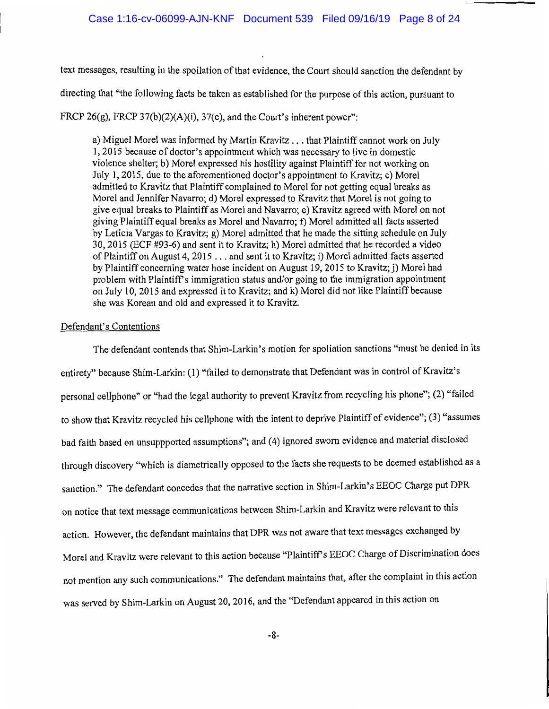text messages, resulting in the spoilation of that evidence, the Court should sanction the defendant by

directing that "the following facts be taken as established for the purpose of this action, pursuant to

FRCP 26(g), FRCP 37(b)(2)(A)(i), 37(e), and the Court's inherent power":

a) Miguel Morel was informed by Martin Kravitz ... that Plaintiff cannot work on July 1, 2015 because of doctor's appointment which was necessary to live in domestic violence shelter; b) Morel expressed his hostility against Plaintiff for not working on July 1, 2015, due to the aforementioned doctor's appointment to Kravitz; c) Morel admitted to Kravitz that Plaintiff complained to Morel for not getting equal breaks as Morel and Jennifer Navarro; d) Morel expressed to Kravitz that Morel is not going to give equal breaks to Plaintiff as Morel and Navarro; e) Kravitz agreed with Morel on not giving Plaintiff equal breaks as Morel and Navarro; f) Morel admitted all facts asserted by Leticia Vargas to Kravitz; g) Morel admitted that he made the sitting schedule on July 30, 2015 (ECF #93-6) and sent it to Kravitz; h) Morel admitted that he recorded a video of Plaintiff on August 4, 2015 ... and sent it to Kravitz; i) Morel admitted facts asserted by Plaintiff concerning water hose incident on August 19, 2015 to Kravitz; j) Morel had problem with Plaintiffs immigration status and/or going to the immigration appointment on July 10, 2015 and expressed it to Kravitz; and k) Morel did not like Plaintiff because she was Korean and old and expressed it to Kravitz.

## Defendant's Contentions

The defendant contends that Shim-Larkin's motion for spoliation sanctions "must be denied in its entirety" because Shim-Larkin: (1) "failed to demonstrate that Defendant was in control of Kravitz's personal cellphone" or "had the legal authority to prevent Kravitz from recycling his phone"; (2) "failed to show that Kravitz recycled his cellphone with the intent to deprive Plaintiff of evidence"; (3) "assumes bad faith based on unsuppported assumptions"; and (4) ignored sworn evidence and material disclosed through discovery "which is diametrically opposed to the facts she requests to be deemed established as a sanction." The defendant concedes that the narrative section in Shim-Larkin's EEOC Charge put DPR on notice that text message communications between Shim-Larkin and Kravitz were relevant to this action. However, the defendant maintains that DPR was not aware that text messages exchanged by Morel and Kravitz were relevant to this action because "Plaintiff's EEOC Charge of Discrimination does not mention any such communications." The defendant maintains that, after the complaint in this action was served by Shim-Larkin on August 20, 2016, and the "Defendant appeared in this action on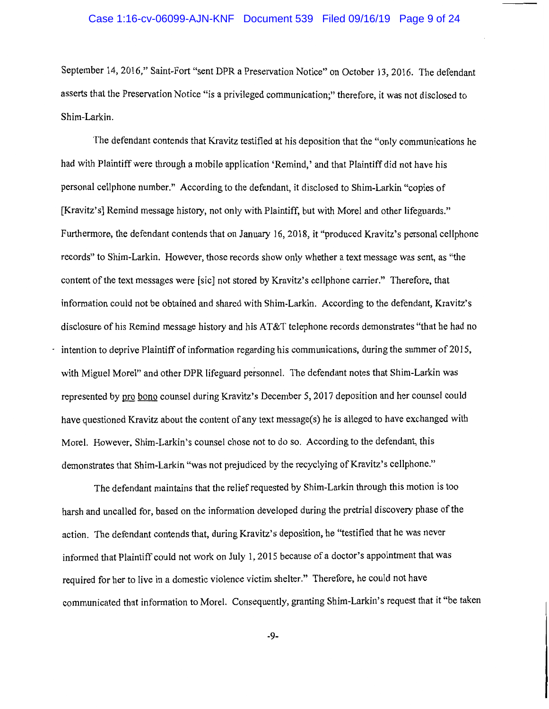## Case 1:16-cv-06099-AJN-KNF Document 539 Filed 09/16/19 Page 9 of 24

September 14, 2016," Saint-Fort "sent DPR a Preservation Notice" on October 13, 2016. The defendant asserts that the Preservation Notice "is a privileged communication;" therefore, it was not disclosed to Shim-Larkin.

The defendant contends that Kravitz testified at his deposition that the "only communications he had with Plaintiff were through a mobile application 'Remind,' and that Plaintiff did not have his personal cellphone number." According to the defendant, it disclosed to Shim-Larkin "copies of [Kravitz's] Remind message history, not only with Plaintiff, but with Morel and other lifeguards." Furthermore, the defendant contends that on January 16, 2018, it "produced Kravitz's personal cellphone records" to Shim-Larkin. However, those records show only whether a text message was sent, as "the content of the text messages were [sic] not stored by Kravitz's cellphone carrier." Therefore, that information could not be obtained and shared with Shim-Larkin. According to the defendant, Kravitz's disclosure of his Remind message history and his AT&T telephone records demonstrates "that he had no intention to deprive Plaintiff of information regarding his communications, during the summer of 2015, with Miguel Morel" and other DPR lifeguard personnel. The defendant notes that Shim-Larkin was represented by pro bono counsel during Kravitz's December 5, 2017 deposition and her counsel could have questioned Kravitz about the content of any text message(s) he is alleged to have exchanged with Morel. However, Shim-Larkin's counsel chose not to do so. According to the defendant, this demonstrates that Shim-Larkin "was not prejudiced by the recyclying of Kravitz's cellphone."

The defendant maintains that the relief requested by Shim-Larkin through this motion is too harsh and uncalled for, based on the information developed during the pretrial discovery phase of the action. The defendant contends that, during Kravitz's deposition, he "testified that he was never informed that Plaintiff could not work on July 1, 2015 because of a doctor's appointment that was required for her to live in a domestic violence victim shelter." Therefore, he could not have communicated that information to Morel. Consequently, granting Shim-Larkin's request that it "be taken

-9-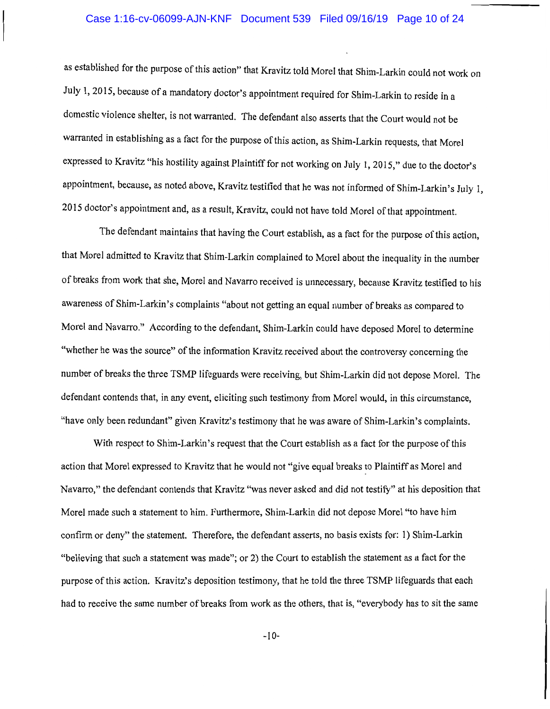## Case 1:16-cv-06099-AJN-KNF Document 539 Filed 09/16/19 Page 10 of 24

as established for the purpose of this action" that Kravitz told Morel that Shim-Larkin could not work on July I, 2015, because of a mandatory doctor's appointment required for Shim-Larkin to reside in a domestic violence shelter, is not warranted. The defendant also asserts that the Court would not be warranted in establishing as a fact for the purpose of this action, as Shim-Larkin requests, that Morel expressed to Kravitz "his hostility against Plaintiff for not working on July 1, 2015," due to the doctor's appointment, because, as noted above, Kravitz testified that he was not informed of Shim-Larkin's July 1, 2015 doctor's appointment and, as a result, Kravitz, could not have told Morel of that appointment.

The defendant maintains that having the Court establish, as a fact for the purpose of this action, that Morel admitted to Kravitz that Shim-Larkin complained to Morel about the inequality in the number of breaks from work that she, Morel and Navarro received is unnecessary, because Kravitz testified to his awareness of Shim-Larkin's complaints "about not getting an equal number of breaks as compared to Morel and Navarro." According to the defendant, Shim-Larkin could have deposed Morel to determine "whether he was the source" of the information Kravitz received about the controversy concerning the number of breaks the three TSMP lifeguards were receiving, but Shim-Larkin did not depose Morel. The defendant contends that, in any event, eliciting such testimony from Morel would, in this circumstance, "have only been redundant" given Kravitz's testimony that he was aware of Shim-Larkin's complaints.

With respect to Shim-Larkin's request that the Court establish as a fact for the purpose of this action that Morel expressed to Kravitz that he would not "give equal breaks to Plaintiff as Morel and Navarro," the defendant contends that Kravitz "was never asked and did not testify" at his deposition that Morel made such a statement to him. Furthermore, Shim-Larkin did not depose Morel "to have him confirm or deny" the statement. Therefore, the defendant asserts, no basis exists for: 1) Shim-Larkin "believing that such a statement was made"; or 2) the Court to establish the statement as a fact for the purpose of this action. Kravitz's deposition testimony, that he told the three TSMP lifeguards that each had to receive the same number of breaks from work as the others, that is, "everybody has to sit the same

-10-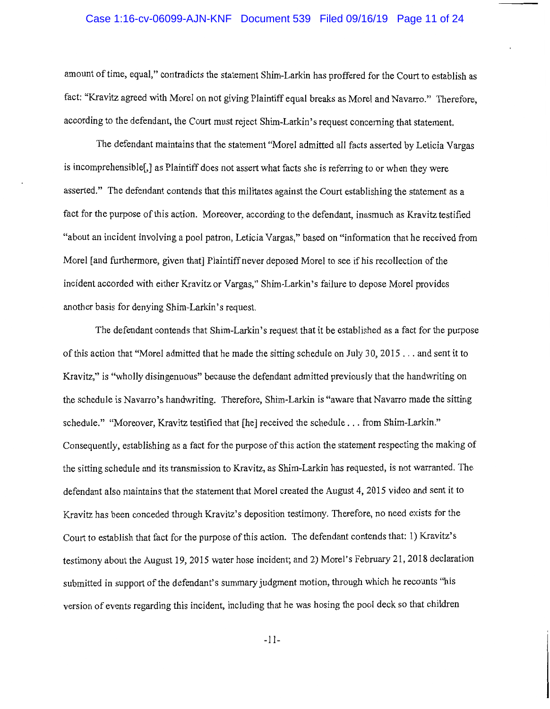#### Case 1:16-cv-06099-AJN-KNF Document 539 Filed 09/16/19 Page 11 of 24

amount of time, equal," contradicts the statement Shim-Larkin has proffered for the Court to establish as fact: "Kravitz agreed with Morel on not giving Plaintiff equal breaks as Morel and Navarro." Therefore, according to the defendant, the Court must reject Shim-Larkin's request concerning that statement.

The defendant maintains that the statement "Morel admitted all facts asserted by Leticia Vargas is incomprehensible[,] as Plaintiff does not assert what facts she is referring to or when they were asserted." The defendant contends that this militates against the Court establishing the statement as a fact for the purpose of this action. Moreover, according to the defendant, inasmuch as Kravitz testified "about an incident involving a pool patron, Leticia Vargas," based on "information that he received from Morel [and furthermore, given that] Plaintiff never deposed Morel to see if his recollection of the incident accorded with either Kravitz or Vargas," Shim-Larkin's failure to depose Morel provides another basis for denying Shim-Larkin's request.

The defendant contends that Shim-Larkin's request that it be established as a fact for the purpose of this action that "Morel admitted that he made the sitting schedule on July 3 0, 2015 ... and sent it to Kravitz," is "wholly disingenuous" because the defendant admitted previously that the handwriting on the schedule is Navarro's handwriting. Therefore, Shim-Larkin is "aware that Navarro made the sitting schedule." "Moreover, Kravitz testified that [he] received the schedule ... from Shim-Larkin." Consequently, establishing as a fact for the purpose of this action the statement respecting the making of the sitting schedule and its transmission to Kravitz, as Shim-Larkin has requested, is not warranted. The defendant also maintains that the statement that Morel created the August 4, 2015 video and sent it to Kravitz has been conceded through Kravitz's deposition testimony. Therefore, no need exists for the Court to establish that fact for the purpose of this action. The defendant contends that: 1) Kravitz' s testimony about the August 19, 2015 water hose incident; and 2) Morel's February 21, 2018 declaration submitted in support of the defendant's summary judgment motion, through which he recounts "his version of events regarding this incident, including that he was hosing the pool deck so that children

-11-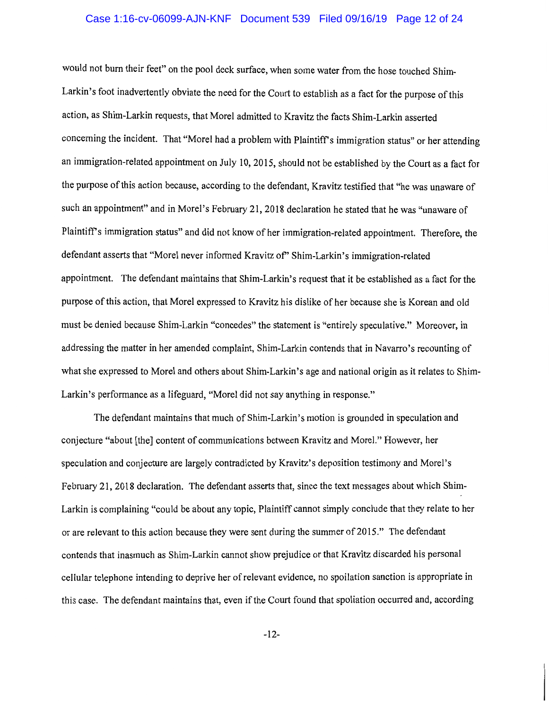# Case 1:16-cv-06099-AJN-KNF Document 539 Filed 09/16/19 Page 12 of 24

would not bum their feet" on the pool deck surface, when some water from the hose touched Shim-Larkin's foot inadvertently obviate the need for the Court to establish as a fact for the purpose of this action, as Shim-Larkin requests, that Morel admitted to Kravitz the facts Shim-Larkin asserted concerning the incident. That "Morel had a problem with Plaintiff's immigration status" or her attending an immigration-related appointment on July 10, 2015, should not be established by the Court as a fact for the purpose of this action because, according to the defendant, Kravitz testified that "he was unaware of such an appointment" and in Morel's February 21, 2018 declaration he stated that he was "unaware of Plaintiff's immigration status" and did not know of her immigration-related appointment. Therefore, the defendant asserts that "Morel never informed Kravitz of" Shim-Larkin's immigration-related appointment. The defendant maintains that Shim-Larkin's request that it be established as a fact for the purpose of this action, that Morel expressed to Kravitz his dislike of her because she is Korean and old must be denied because Shim-Larkin "concedes" the statement is "entirely speculative." Moreover, in addressing the matter in her amended complaint, Shim-Larkin contends that in Navarro's recounting of what she expressed to Morel and others about Shim-Larkin's age and national origin as it relates to Shim-Larkin's performance as a lifeguard, "Morel did not say anything in response."

The defendant maintains that much of Shim-Larkin's motion is grounded in speculation and conjecture "about [the] content of communications between Kravitz and Morel." However, her speculation and conjecture are largely contradicted by Kravitz's deposition testimony and Morel's February 21, 2018 declaration. The defendant asserts that, since the text messages about which Shim-Larkin is complaining "could be about any topic, Plaintiff cannot simply conclude that they relate to her or are relevant to this action because they were sent during the summer of 2015." The defendant contends that inasmuch as Shim-Larkin cannot show prejudice or that Kravitz discarded his personal cellular telephone intending to deprive her ofrelevant evidence, no spoilation sanction is appropriate in this case. The defendant maintains that, even if the Court found that spoliation occurred and, according

-12-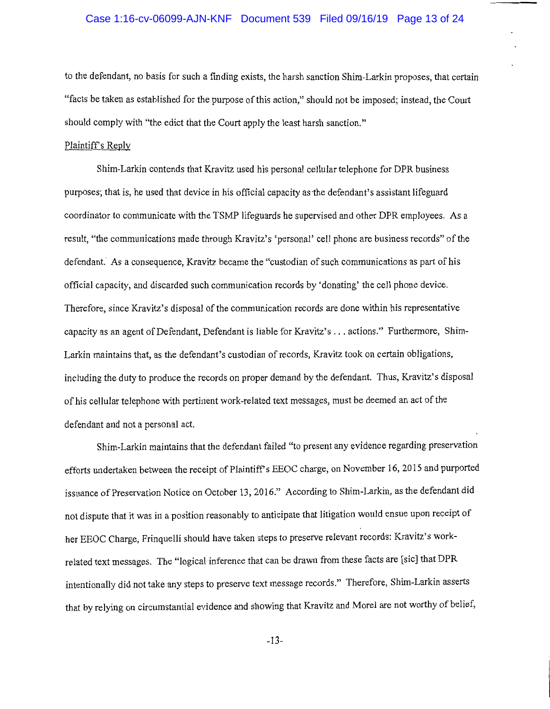## Case 1:16-cv-06099-AJN-KNF Document 539 Filed 09/16/19 Page 13 of 24

to the defendant, no basis for such a finding exists, the harsh sanction Shim-Larkin proposes, that certain "facts be taken as established for the purpose of this action," should not be imposed; instead, the Court should comply with "the edict that the Court apply the least harsh sanction."

## Plaintiff's Reply

Shim-Larkin contends that Kravitz used his personal cellular telephone for DPR business purposes; that is, he used that device in his official capacity as the defendant's assistant lifeguard coordinator to communicate with the TSMP lifeguards he supervised and other DPR employees. As a result, "the communications made through Kravitz's 'personal' cell phone are business records" of the defendant. As a consequence, Kravitz became the "custodian of such communications as part of his official capacity, and discarded such communication records by 'donating' the cell phone device. Therefore, since Kravitz's disposal of the communication records are done within his representative capacity as an agent of Defendant, Defendant is liable for Kravitz's ... actions." Furthermore, Shim-Larkin maintains that, as the defendant's custodian of records, Kravitz took on certain obligations, including the duty to produce the records on proper demand by the defendant. Thus, Kravitz's disposal of his cellular telephone with pertinent work-related text messages, must be deemed an act of the defendant and not a personal act.

Shim-Larkin maintains that the defendant failed "to present any evidence regarding preservation efforts undertaken between the receipt of Plaintiff's EEOC charge, on November 16, 2015 and purported issuance of Preservation Notice on October 13, 2016." According to Shim-Larkin, as the defendant did not dispute that it was in a position reasonably to anticipate that litigation would ensue upon receipt of her EEOC Charge, Frinquelli should have taken steps to preserve relevant records: Kravitz's workrelated text messages. The "logical inference that can be drawn from these facts are [sic] that DPR intentionally did not take any steps to preserve text message records." Therefore, Shim-Larkin asserts that by relying on circumstantial evidence and showing that Kravitz and Morel are not worthy of belief,

-13-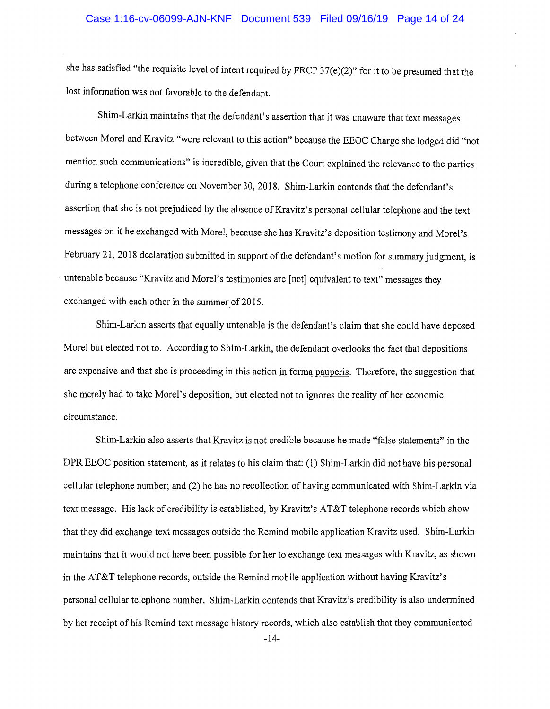she has satisfied "the requisite level of intent required by FRCP  $37(e)(2)$ " for it to be presumed that the lost information was not favorable to the defendant.

Shim-Larkin maintains that the defendant's assertion that it was unaware that text messages between Morel and Kravitz "were relevant to this action" because the EEOC Charge she lodged did "not mention such communications" is incredible, given that the Court explained the relevance to the parties during a telephone conference on November 30, 2018. Shim-Larkin contends that the defendant's assertion that she is not prejudiced by the absence of Kravitz's personal cellular telephone and the text messages on it he exchanged with Morel, because she has Kravitz's deposition testimony and Morel's February 21, 2018 declaration submitted in support of the defendant's motion for summary judgment, is · untenable because "Kravitz and Morel's testimonies are [not] equivalent to text" messages they exchanged with each other in the summer of 2015.

Shim-Larkin asserts that equally untenable is the defendant's claim that she could have deposed Morel but elected not to. According to Shim-Larkin, the defendant overlooks the fact that depositions are expensive and that she is proceeding in this action in forma pauperis. Therefore, the suggestion that she merely had to take Morel's deposition, but elected not to ignores the reality of her economic circumstance.

Shim-Larkin also asserts that Kravitz is not credible because he made "false statements" in the DPR EEOC position statement, as it relates to his claim that: (1) Shim-Larkin did not have his personal cellular telephone number; and (2) he has no recollection of having communicated with Shim-Larkin via text message. His lack of credibility is established, by Kravitz's AT&T telephone records which show that they did exchange text messages outside the Remind mobile application Kravitz used. Shim-Larkin maintains that it would not have been possible for her to exchange text messages with Kravitz, as shown in the AT&T telephone records, outside the Remind mobile application without having Kravitz's personal cellular telephone number. Shim-Larkin contends that Kravitz's credibility is also undermined by her receipt of his Remind text message history records, which also establish that they communicated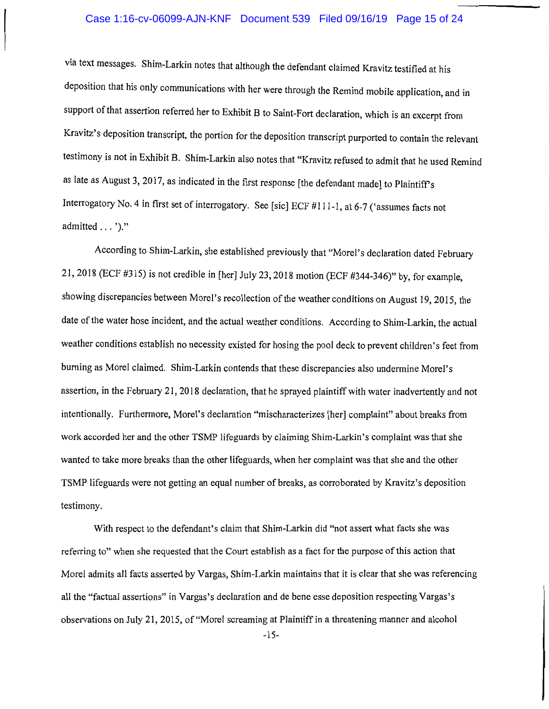## Case 1:16-cv-06099-AJN-KNF Document 539 Filed 09/16/19 Page 15 of 24

via text messages. Shim-Larkin notes that although the defendant claimed Kravitz testified at his deposition that his only communications with her were through the Remind mobile application, and in support of that assertion referred her to Exhibit B to Saint-Fort declaration, which is an excerpt from Kravitz's deposition transcript, the portion for the deposition transcript purported to contain the relevant testimony is not in Exhibit B. Shim-Larkin also notes that "Kravitz refused to admit that he used Remind as late as August 3, 2017, as indicated in the first response [the defendant made] to Plaintiffs Interrogatory No. 4 in first set of interrogatory. See [sic] ECF #111-1, at 6-7 ('assumes facts not admitted ... ')."

According to Shim-Larkin, she established previously that "Morel's declaration dated February 21, 2018 (ECF #315) is not credible in [her] July 23, 2018 motion (ECF #344-346)" by, for example, showing discrepancies between Morel's recollection of the weather conditions on August 19, 2015, the date of the water hose incident, and the actual weather conditions. According to Shim-Larkin, the actual weather conditions establish no necessity existed for hosing the pool deck to prevent children's feet from burning as Morel claimed. Shim-Larkin contends that these discrepancies also undermine Morel's assertion, in the February 21, 2018 declaration, that he sprayed plaintiff with water inadvertently and not intentionally. Furthermore, Morel's declaration "mischaracterizes [her] complaint" about breaks from work accorded her and the other TSMP lifeguards by claiming Shim-Larkin's complaint was that she wanted to take more breaks than the other lifeguards, when her complaint was that she and the other TSMP lifeguards were not getting an equal number of breaks, as corroborated by Kravitz's deposition testimony.

With respect to the defendant's claim that Shim-Larkin did "not assert what facts she was referring to" when she requested that the Court establish as a fact for the purpose of this action that Morel admits all facts asserted by Vargas, Shim-Larkin maintains that it is clear that she was referencing all the "factual assertions" in Vargas's declaration and de bene esse deposition respecting Vargas's observations on July 21, 2015, of"Morel screaming at Plaintiff in a threatening manner and alcohol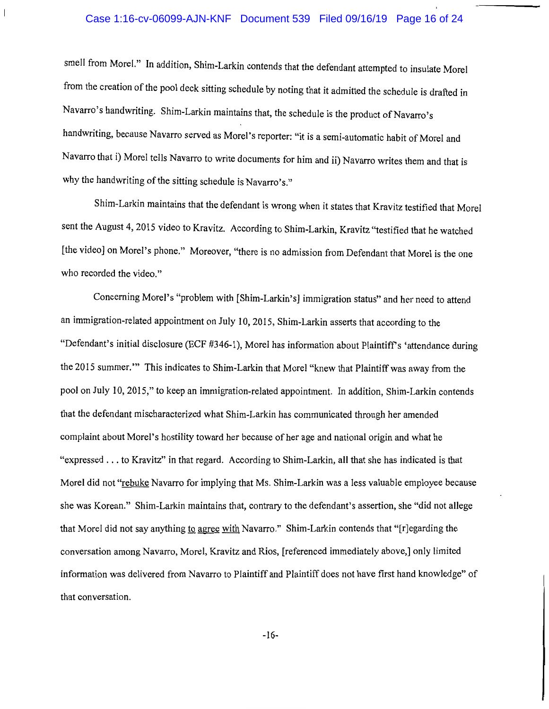## Case 1:16-cv-06099-AJN-KNF Document 539 Filed 09/16/19 Page 16 of 24

smell from Morel." In addition, Shim-Larkin contends that the defendant attempted to insulate Morel from the creation of the pool deck sitting schedule by noting that it admitted the schedule is drafted in Navarro's handwriting. Shim-Larkin maintains that, the schedule is the product of Navarro's handwriting, because Navarro served as Morel's reporter: "it is a semi-automatic habit of Morel and Navarro that i) Morel tells Navarro to write documents for him and ii) Navarro writes them and that is why the handwriting of the sitting schedule is Navarro's."

Shim-Larkin maintains that the defendant is wrong when it states that Kravitz testified that Morel sent the August 4, 2015 video to Kravitz. According to Shim-Larkin, Kravitz "testified that he watched [the video] on Morel's phone." Moreover, "there is no admission from Defendant that Morel is the one who recorded the video."

Concerning Morel's "problem with [Shim-Larkin's] immigration status" and her need to attend an immigration-related appointment on July 10, 2015, Shim-Larkin asserts that according to the "Defendant's initial disclosure (ECF #346-1), Morel has information about Plaintiff's 'attendance during the 2015 summer."' This indicates to Shim-Larkin that Morel "knew that Plaintiff was away from the pool on July 10, 2015," to keep an immigration-related appointment. In addition, Shim-Larkin contends that the defendant mischaracterized what Shim-Larkin has communicated through her amended complaint about Morel's hostility toward her because of her age and national origin and what he "expressed ... to Kravitz" in that regard. According to Shim-Larkin, all that she has indicated is that Morel did not "rebuke Navarro for implying that Ms. Shim-Larkin was a less valuable employee because she was Korean." Shim-Larkin maintains that, contrary to the defendant's assertion, she "did not allege that Morel did not say anything to agree with Navarro." Shim-Larkin contends that "[r]egarding the conversation among Navarro, Morel, Kravitz and Rios, [referenced immediately above,] only limited information was delivered from Navarro to Plaintiff and Plaintiff does not have first hand knowledge" of that conversation.

-16-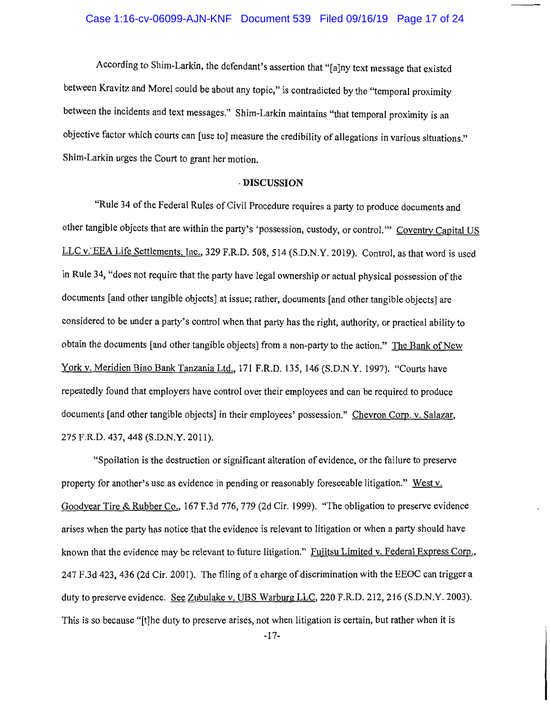According to Shim-Larkin, the defendant's assertion that "[a]ny text message that existed between Kravitz and Morel could be about any topic," is contradicted by the "temporal proximity between the incidents and text messages." Shim-Larkin maintains "that temporal proximity is an objective factor which courts can [use to] measure the credibility of allegations in various situations." Shim-Larkin urges the Court to grant her motion.

#### · **DISCUSSION**

"Rule 34 of the Federal Rules of Civil Procedure requires a party to produce documents and other tangible objects that are within the party's 'possession, custody, or control."" Coventry Capital US LLC v. EEA Life Settlements, Inc., 329 F.R.D. 508, 514 (S.D.N.Y. 2019). Control, as that word is used in Rule 34, "does not require that the party have legal ownership or actual physical possession of the documents [and other tangible objects] at issue; rather, documents [and other tangible objects] are considered to be under a party's control when that party has the right, authority, or practical ability to obtain the documents [and other tangible objects] from a non-party to the action." The Bank of New York v. Meridien Biao Bank Tanzania Ltd., 171 F.R.D. 135, 146 (S.D.N.Y. 1997). "Courts have repeatedly found that employers have control over their employees and can be required to produce documents [and other tangible objects] in their employees' possession." Chevron Corp. v. Salazar, 275 F.R.D. 437,448 (S.D.N.Y. 2011).

"Spoilation is the destruction or significant alteration of evidence, or the failure to preserve property for another's use as evidence in pending or reasonably foreseeable litigation." West v. Goodyear Tire & Rubber Co., 167 F.3d 776, 779 (2d Cir. 1999). "The obligation to preserve evidence arises when the party has notice that the evidence is relevant to litigation or when a party should have known that the evidence may be relevant to future litigation." Fujitsu Limited v. Federal Express Corp., 24 7 F .3d 423, 436 (2d Cir. 2001 ). The filing of a charge of discrimination with the EEOC can trigger a duty to preserve evidence. See Zubulake v. UBS Warburg LLC, 220 F.R.D. 212, 216 (S.D.N.Y. 2003). This is so because "[t]he duty to preserve arises, not when litigation is certain, but rather when it is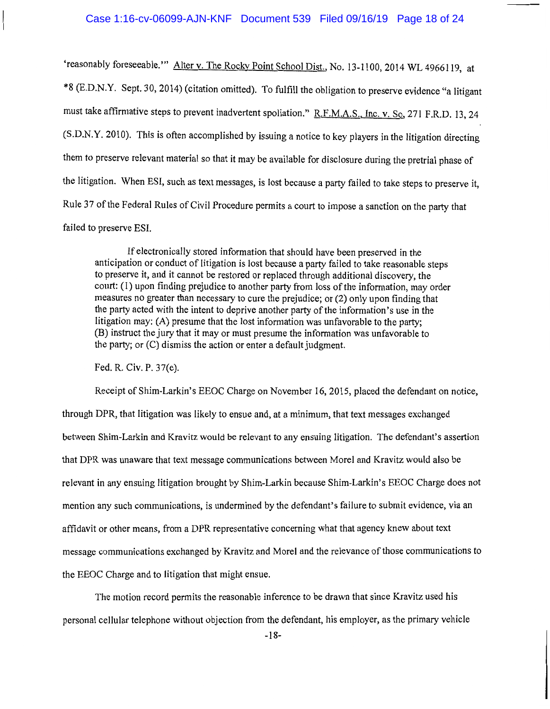#### Case 1:16-cv-06099-AJN-KNF Document 539 Filed 09/16/19 Page 18 of 24

'reasonably foreseeable.'" Alter v. The Rocky Point School Dist., No. 13-1100, 2014 WL 4966119, at \*8 (E.D.N.Y. Sept. 30, 2014) (citation omitted). To fulfill the obligation to preserve evidence "a litigant must take affirmative steps to prevent inadvertent spoliation." R.F.M.A.S., Inc. v. So, 271 F.R.D. 13, 24 (S.D.N.Y. 2010). This is often accomplished by issuing a notice to key players in the litigation directing them to preserve relevant material so that it may be available for disclosure during the pretrial phase of the litigation. When ESI, such as text messages, is lost because a party failed to take steps to preserve it, Rule 37 of the Federal Rules of Civil Procedure permits a court to impose a sanction on the party that failed to preserve ESI.

If electronically stored information that should have been preserved in the anticipation or conduct of litigation is lost because a party failed to take reasonable steps to preserve it, and it cannot be restored or replaced through additional discovery, the court: (1) upon finding prejudice to another party from loss of the information, may order measures no greater than necessary to cure the prejudice; or (2) only upon finding that the party acted with the intent to deprive another party of the information's use in the litigation may: (A) presume that the lost information was unfavorable to the party; (B) instruct the jury that it may or must presume the information was unfavorable to the party; or (C) dismiss the action or enter a default judgment.

Fed. R. Civ. P. 37(e).

Receipt of Shim-Larkin's EEOC Charge on November 16, 2015, placed the defendant on notice, through DPR, that litigation was likely to ensue and, at a minimum, that text messages exchanged between Shim-Larkin and Kravitz would be relevant to any ensuing litigation. The defendant's assertion that DPR was unaware that text message communications between Morel and Kravitz would also be relevant in any ensuing litigation brought by Shim-Larkin because Shim-Larkin's EEOC Charge does not mention any such communications, is undermined by the defendant's failure to submit evidence, via an affidavit or other means, from a DPR representative concerning what that agency knew about text message communications exchanged by Kravitz and Morel and the relevance of those communications to the EEOC Charge and to litigation that might ensue.

The motion record permits the reasonable inference to be drawn that since Kravitz used his personal cellular telephone without objection from the defendant, his employer, as the primary vehicle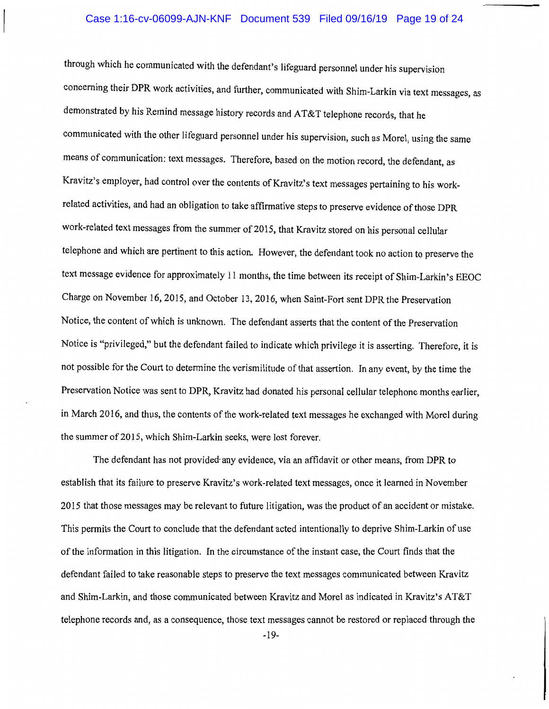## Case 1:16-cv-06099-AJN-KNF Document 539 Filed 09/16/19 Page 19 of 24

through which he communicated with the defendant's lifeguard personnel under his supervision concerning their DPR work activities, and further, communicated with Shim-Larkin via text messages, as demonstrated by his Remind message history records and AT&T telephone records, that he communicated with the other lifeguard personnel under his supervision, such as Morel, using the same means of communication: text messages. Therefore, based on the motion record, the defendant, as Kravitz's employer, had control over the contents of Kravitz's text messages pertaining to his workrelated activities, and had an obligation to take affirmative steps to preserve evidence of those DPR work-related text messages from the summer of 2015, that Kravitz stored on his personal cellular telephone and which are pertinent to this action. However, the defendant took no action to preserve the text message evidence for approximately 11 months, the time between its receipt of Shim-Larkin's EEOC Charge on November 16, 2015, and October 13, 2016, when Saint-Fort sent DPR the Preservation Notice, the content of which is unknown. The defendant asserts that the content of the Preservation Notice is "privileged," but the defendant failed to indicate which privilege it is asserting. Therefore, it is not possible for the Court to determine the verismilitude of that assertion. In any event, by the time the Preservation Notice was sent to DPR, Kravitz had donated his personal cellular telephone months earlier, in March 2016, and thus, the contents of the work-related text messages he exchanged with Morel during the summer of 2015, which Shim-Larkin seeks, were lost forever.

The defendant has not provided· any evidence, via an affidavit or other means, from DPR to establish that its failure to preserve Kravitz's work-related text messages, once it learned in November 2015 that those messages may be relevant to future litigation, was the product of an accident or mistake. This permits the Court to conclude that the defendant acted intentionally to deprive Shim-Larkin of use of the information in this litigation. In the circumstance of the instant case, the Court finds that the defendant failed to take reasonable steps to preserve the text messages communicated between Kravitz and Shim-Larkin, and those communicated between Kravitz and Morel as indicated in Kravitz's AT&T telephone records and, as a consequence, those text messages cannot be restored or replaced through the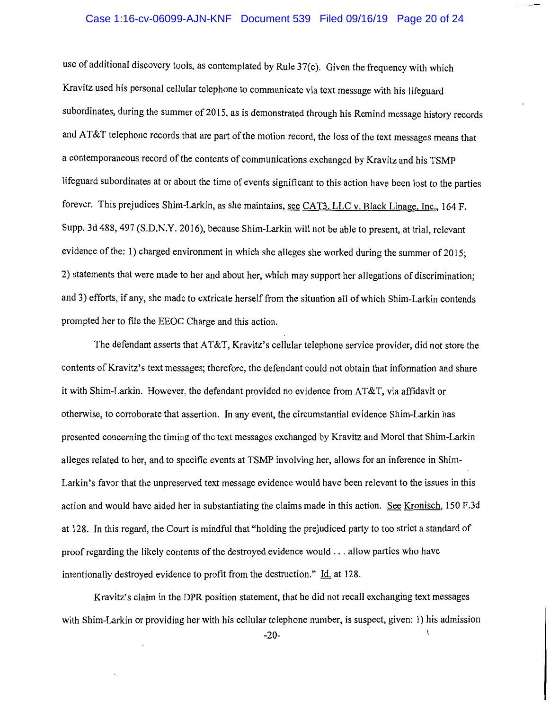# Case 1:16-cv-06099-AJN-KNF Document 539 Filed 09/16/19 Page 20 of 24

use of additional discovery tools, as contemplated by Rule 37(e). Given the frequency with which Kravitz used his personal cellular telephone to communicate via text message with his lifeguard subordinates, during the summer of 2015, as is demonstrated through his Remind message history records and AT&T telephone records that are part of the motion record, the loss of the text messages means that a contemporaneous record of the contents of communications exchanged by Kravitz and his TSMP lifeguard subordinates at or about the time of events significant to this action have been lost to the parties forever. This prejudices Shim-Larkin, as she maintains, see CAT3, LLC v. Black Linage, Inc., 164 F. Supp. 3d 488, 497 (S.D.N.Y. 2016), because Shim-Larkin will not be able to present, at trial, relevant evidence of the: 1) charged environment in which she alleges she worked during the summer of 2015; 2) statements that were made to her and about her, which may support her allegations of discrimination; and 3) efforts, if any, she made to extricate herself from the situation all of which Shim-Larkin contends prompted her to file the EEOC Charge and this action.

The defendant asserts that AT&T, Kravitz's cellular telephone service provider, did not store the contents of Kravitz's text messages; therefore, the defendant could not obtain that information and share it with Shim-Larkin. However, the defendant provided no evidence from AT&T, via affidavit or otherwise, to corroborate that assertion. In any event, the circumstantial evidence Shim-Larkin has presented concerning the timing of the text messages exchanged by Kravitz and Morel that Shim-Larkin alleges related to her, and to specific events at TSMP involving her, allows for an inference in Shim-Larkin 's favor that the unpreserved text message evidence would have been relevant to the issues in this action and would have aided her in substantiating the claims made in this action. See Kronisch, 150 F.3d at 128. In this regard, the Court is mindful that "holding the prejudiced party to too strict a standard of proof regarding the likely contents of the destroyed evidence would ... allow parties who have intentionally destroyed evidence to profit from the destruction." Id. at 128.

Kravitz's claim in the DPR position statement, that he did not recall exchanging text messages with Shim-Larkin or providing her with his cellular telephone number, is suspect, given: 1) his admission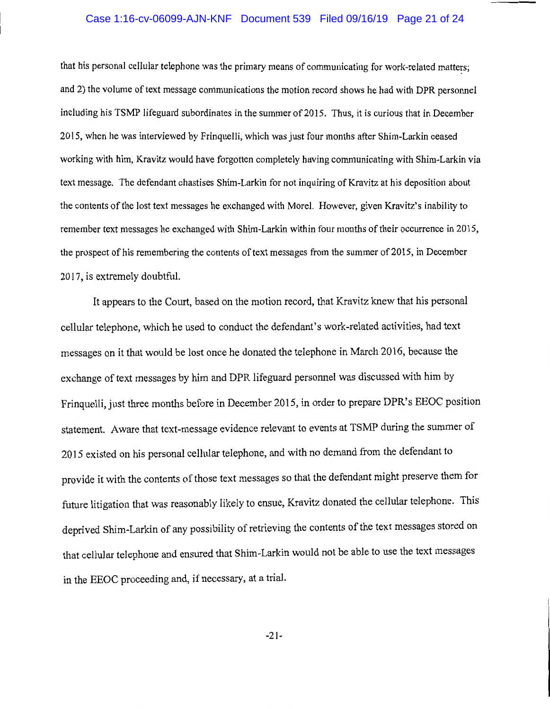## Case 1:16-cv-06099-AJN-KNF Document 539 Filed 09/16/19 Page 21 of 24

that his personal cellular telephone was the primary means of communicating for work-related matters; and 2) the volume of text message communications the motion record shows he had with DPR personnel including his TSMP lifeguard subordinates in the summer of 2015. Thus, it is curious that in December 2015, when he was interviewed by Frinquelli, which was just four months after Shim-Larkin ceased working with him, Kravitz would have forgotten completely having communicating with Shim-Larkin via text message. The defendant chastises Shim-Larkin for not inquiring of Kravitz at his deposition about the contents of the lost text messages he exchanged with Morel. However, given Kravitz's inability to remember text messages he exchanged with Shim-Larkin within four months of their occurrence in 2015, the prospect of his remembering the contents of text messages from the summer of 2015, in December 2017, is extremely doubtful.

It appears to the Court, based on the motion record, that Kravitz knew that his personal cellular telephone, which he used to conduct the defendant's work-related activities, had text messages on it that would be lost once he donated the telephone in March 2016, because the exchange of text messages by him and DPR lifeguard personnel was discussed with him by Frinquelli, just three months before in December 2015, in order to prepare DPR's EEOC position statement. Aware that text-message evidence relevant to events at TSMP during the summer of 2015 existed on his personal cellular telephone, and with no demand from the defendant to provide it with the contents of those text messages so that the defendant might preserve them for future litigation that was reasonably likely to ensue, Kravitz donated the cellular telephone. This deprived Shim-Larkin of any possibility of retrieving the contents of the text messages stored on that cellular telephone and ensured that Shim-Larkin would not be able to use the text messages in the EEOC proceeding and, if necessary, at a trial.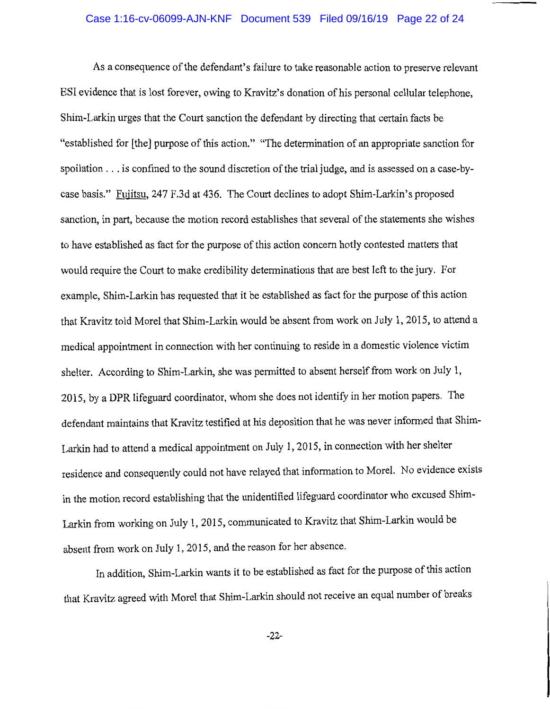## Case 1:16-cv-06099-AJN-KNF Document 539 Filed 09/16/19 Page 22 of 24

As a consequence of the defendant's failure to take reasonable action to preserve relevant ESI evidence that is lost forever, owing to Kravitz's donation of his personal cellular telephone, Shim-Larkin urges that the Court sanction the defendant by directing that certain facts be "established for [the] purpose of this action." "The determination of an appropriate sanction for spoilation ... is confined to the sound discretion of the trial judge, and is assessed on a case-bycase basis." Fujitsu, 247 F.3d at 436. The Court declines to adopt Shim-Larkin's proposed sanction, in part, because the motion record establishes that several of the statements she wishes to have established as fact for the purpose of this action concern hotly contested matters that would require the Court to make credibility determinations that are best left to the jury. For example, Shim-Larkin has requested that it be established as fact for the purpose of this action that Kravitz told Morel that Shim-Larkin would be absent from work on July 1, 2015, to attend a medical appointment in connection with her continuing to reside in a domestic violence victim shelter. According to Shim-Larkin, she was permitted to absent herself from work on July 1, 2015, by a DPR lifeguard coordinator, whom she does not identify in her motion papers. The defendant maintains that Kravitz testified at his deposition that he was never informed that Shim-Larkin had to attend a medical appointment on July 1, 2015, in connection with her shelter residence and consequently could not have relayed that information to Morel. No evidence exists in the motion record establishing that the unidentified lifeguard coordinator who excused Shim-Larkin from working on July 1, 2015, communicated to Kravitz that Shim-Larkin would be absent from work on July 1, 2015, and the reason for her absence.

In addition, Shim-Larkin wants it to be established as fact for the purpose of this action that Kravitz agreed with Morel that Shim-Larkin should not receive an equal number of breaks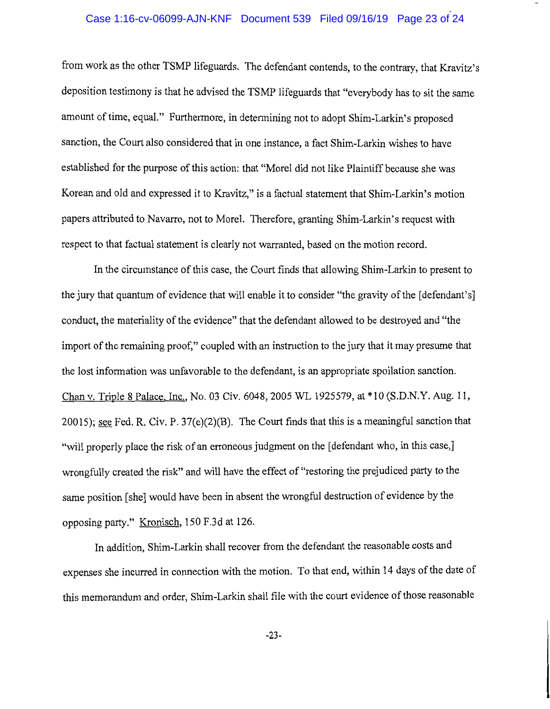# Case 1:16-cv-06099-AJN-KNF Document 539 Filed 09/16/19 Page 23 of 24

from work as the other TSMP lifeguards. The defendant contends, to the contrary, that Kravitz's deposition testimony is that he advised the TSMP lifeguards that "everybody has to sit the same amount of time, equal." Furthermore, in determining not to adopt Shim-Larkin's proposed sanction, the Court also considered that in one instance, a fact Shim-Larkin wishes to have established for the purpose of this action: that "Morel did not like Plaintiff because she was Korean and old and expressed it to Kravitz," is a factual statement that Shim-Larkin's motion papers attributed to Navarro, not to Morel. Therefore, granting Shim-Larkin's request with respect to that factual statement is clearly not warranted, based on the motion record.

In the circumstance of this case, the Court finds that allowing Shim-Larkin to present to the jury that quantum of evidence that will enable it to consider "the gravity of the [defendant's] conduct, the materiality of the evidence" that the defendant allowed to be destroyed and "the import of the remaining proof," coupled with an instruction to the jury that it may presume that the lost information was unfavorable to the defendant, is an appropriate spoilation sanction. Chan v. Triple 8 Palace, Inc., No. 03 Civ. 6048, 2005 WL 1925579, at\* 10 (S.D.N.Y. Aug. 11, 20015); see Fed. R. Civ. P. 37(e)(2)(B). The Court finds that this is a meaningful sanction that "will properly place the risk of an erroneous judgment on the [defendant who, in this case,] wrongfully created the risk" and will have the effect of "restoring the prejudiced party to the same position [she] would have been in absent the wrongful destruction of evidence by the opposing party." Kronisch, 150 F.3d at 126.

In addition, Shim-Larkin shall recover from the defendant the reasonable costs and expenses she incurred in connection with the motion. To that end, within 14 days of the date of this memorandum and order, Shim-Larkin shall file with the court evidence of those reasonable

-23-